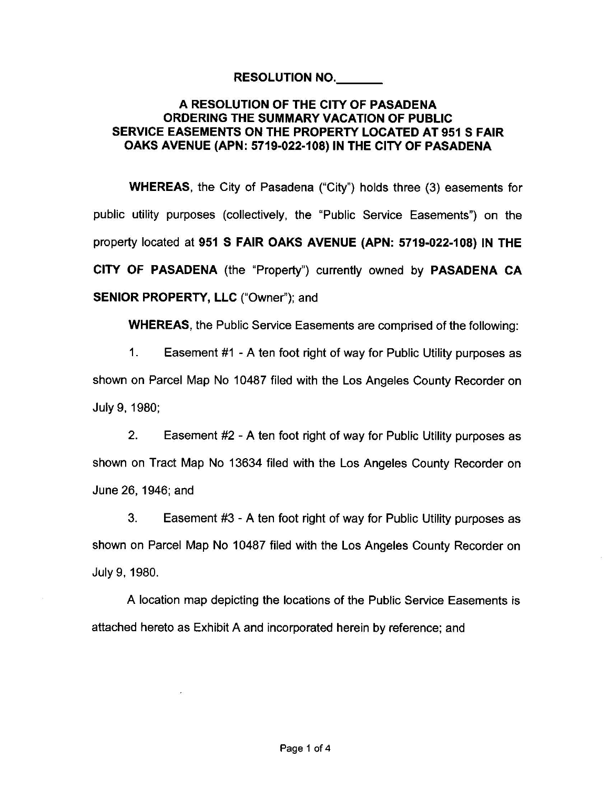## **RESOLUTION NO. \_\_ \_**

## **A RESOLUTION OF THE CITY OF PASADENA ORDERING THE SUMMARY VACATION OF PUBLIC SERVICE EASEMENTS ON THE PROPERTY LOCATED AT 951 S FAIR OAKS AVENUE (APN: 5719-022-108) IN THE CITY OF PASADENA**

**WHEREAS,** the City of Pasadena ("City") holds three (3) easements for public utility purposes (collectively, the "Public Service Easements") on the property located at **951 S FAIR OAKS AVENUE (APN: 5719-022-108) IN THE CITY OF PASADENA** (the "Property") currently owned by **PASADENA CA SENIOR PROPERTY, LLC** ("Owner''); and

**WHEREAS,** the Public Service Easements are comprised of the following:

1. Easement #1 - A ten foot right of way for Public Utility purposes as shown on Parcel Map No 10487 filed with the Los Angeles County Recorder on July 9, 1980;

2. Easement #2 - A ten foot right of way for Public Utility purposes as shown on Tract Map No 13634 filed with the Los Angeles County Recorder on June 26, 1946; and

3. Easement #3 - A ten foot right of way for Public Utility purposes as shown on Parcel Map No 10487 filed with the Los Angeles County Recorder on July 9, 1980.

A location map depicting the locations of the Public Service Easements is attached hereto as Exhibit A and incorporated herein by reference; and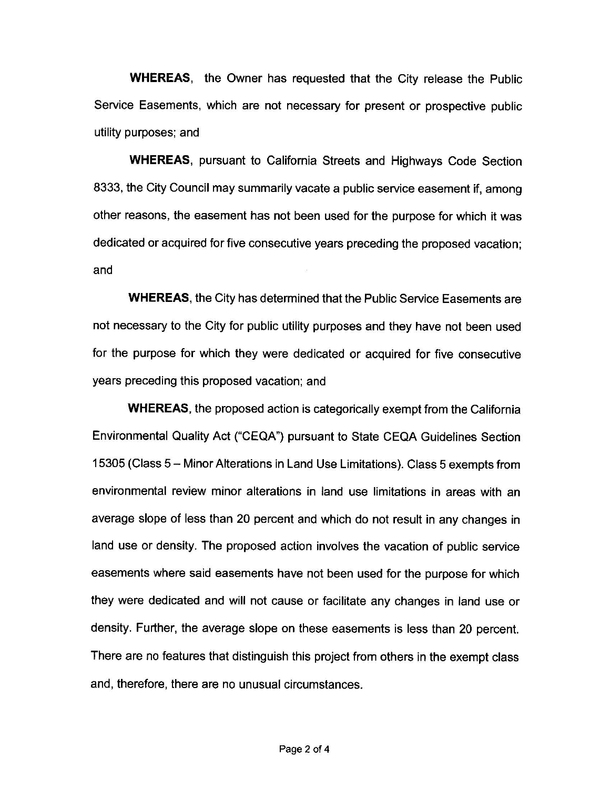**WHEREAS,** the Owner has requested that the City release the Public Service Easements, which are not necessary for present or prospective public utility purposes; and

**WHEREAS,** pursuant to California Streets and Highways Code Section 8333, the City Council may summarily vacate a public service easement if, among other reasons, the easement has not been used for the purpose for which it was dedicated or acquired for five consecutive years preceding the proposed vacation; and

**WHEREAS,** the City has determined that the Public Service Easements are not necessary to the City for public utility purposes and they have not been used for the purpose for which they were dedicated or acquired for five consecutive years preceding this proposed vacation; and

**WHEREAS,** the proposed action is categorically exempt from the California Environmental Quality Act ("CEQA") pursuant to State CEQA Guidelines Section 15305 (Class 5- Minor Alterations in Land Use Limitations). Class 5 exempts from environmental review minor alterations in land use limitations in areas with an average slope of less than 20 percent and which do not result in any changes in land use or density. The proposed action involves the vacation of public service easements where said easements have not been used for the purpose for which they were dedicated and will not cause or facilitate any changes in land use or density. Further, the average slope on these easements is less than 20 percent. There are no features that distinguish this project from others in the exempt class and, therefore, there are no unusual circumstances.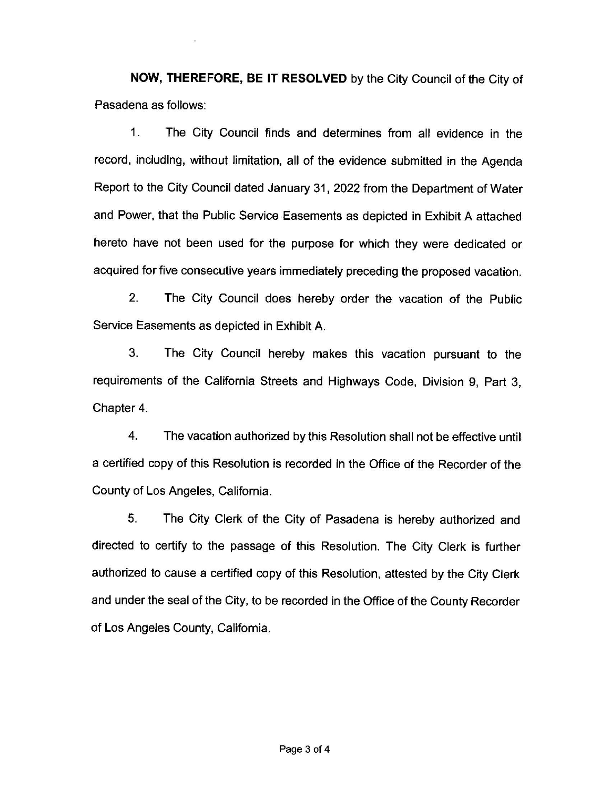**NOW, THEREFORE, BE IT RESOLVED** by the City Council of the City of Pasadena as follows:

1 . The City Council finds and determines from all evidence in the record, including, without limitation, all of the evidence submitted in the Agenda Report to the City Council dated January 31, 2022 from the Department of Water and Power, that the Public Service Easements as depicted in Exhibit A attached hereto have not been used for the purpose for which they were dedicated or acquired for five consecutive years immediately preceding the proposed vacation.

2. The City Council does hereby order the vacation of the Public Service Easements as depicted in Exhibit A.

3. The City Council hereby makes this vacation pursuant to the requirements of the California Streets and Highways Code, Division 9, Part 3, Chapter 4.

4. The vacation authorized by this Resolution shall not be effective until a certified copy of this Resolution is recorded in the Office of the Recorder of the County of Los Angeles, California.

5. The City Clerk of the City of Pasadena is hereby authorized and directed to certify to the passage of this Resolution. The City Clerk is further authorized to cause a certified copy of this Resolution, attested by the City Clerk and under the seal of the City, to be recorded in the Office of the County Recorder of Los Angeles County, California.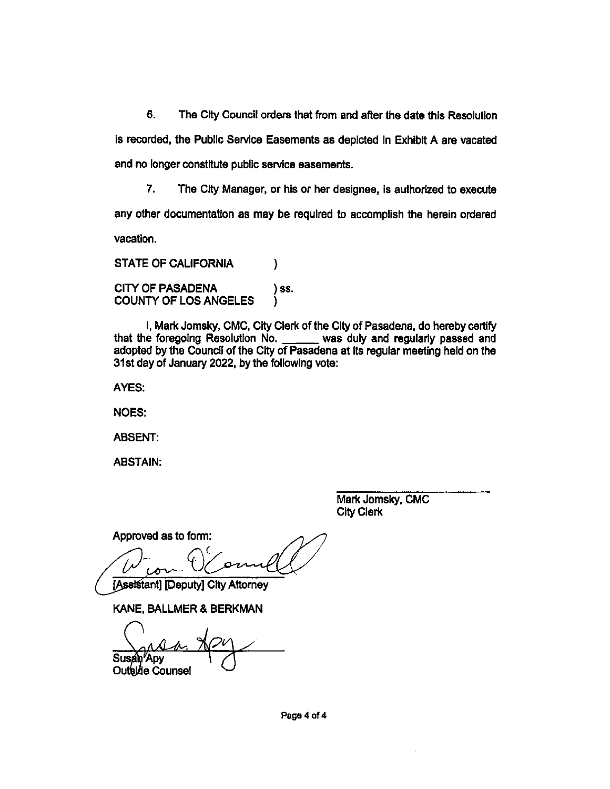6. The City Council orders that from and after the date this Resolution is recorded, the Public Service Easements as depicted in Exhibit A are vacated and no longer constitute public service easements.

 $\overline{7}$ The City Manager, or his or her designee, is authorized to execute any other documentation as may be required to accomplish the herein ordered vacation.

**STATE OF CALIFORNIA**  $\mathcal{E}$ **CITY OF PASADENA** ) SS. **COUNTY OF LOS ANGELES** ١.

I, Mark Jomsky, CMC, City Clerk of the City of Pasadena, do hereby certify that the foregoing Resolution No. \_\_\_\_\_\_ was duly and regularly passed and adopted by the Council of the City of Pasadena at its regular meeting held on the 31st day of January 2022, by the following vote:

AYES:

**NOES:** 

**ABSENT:** 

**ABSTAIN:** 

Mark Jomsky, CMC **City Clerk** 

Approved as to form:

[Assistant] [Deputy] City Attorney

KANE, BALLMER & BERKMAN

**Susan Apv** Outside Counsel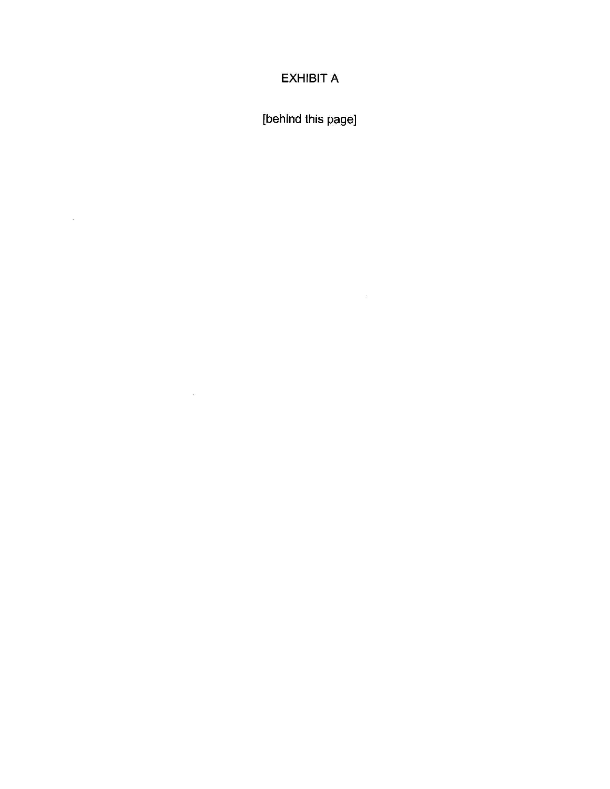## **EXHIBIT A**

[behind this page]

 $\mathcal{D}^{\mathcal{A}}$  . The set of  $\mathcal{D}^{\mathcal{A}}$ 

 $\label{eq:3.1} \tilde{w}$